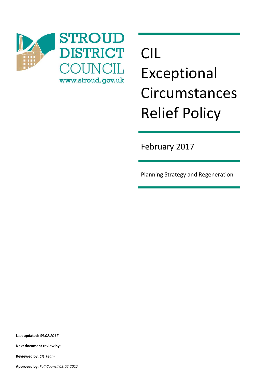

# CIL Exceptional Circumstances Relief Policy

February 2017

Planning Strategy and Regeneration

**Last updated**: *09.02.2017*

**Next document review by**:

**Reviewed by**: *CIL Team*

**Approved by**: *Full Council 09.02.2017*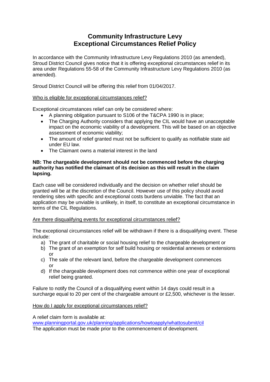## **Community Infrastructure Levy Exceptional Circumstances Relief Policy**

In accordance with the Community Infrastructure Levy Regulations 2010 (as amended), Stroud District Council gives notice that it is offering exceptional circumstances relief in its area under Regulations 55-58 of the Community Infrastructure Levy Regulations 2010 (as amended).

Stroud District Council will be offering this relief from 01/04/2017.

### Who is eligible for exceptional circumstances relief?

Exceptional circumstances relief can only be considered where:

- A planning obligation pursuant to S106 of the T&CPA 1990 is in place;
- The Charging Authority considers that applying the CIL would have an unacceptable impact on the economic viability of a development. This will be based on an objective assessment of economic viability;
- The amount of relief granted must not be sufficient to qualify as notifiable state aid under EU law.
- The Claimant owns a material interest in the land

#### **NB: The chargeable development should not be commenced before the charging authority has notified the claimant of its decision as this will result in the claim lapsing.**

Each case will be considered individually and the decision on whether relief should be granted will be at the discretion of the Council. However use of this policy should avoid rendering sites with specific and exceptional costs burdens unviable. The fact that an application may be unviable is unlikely, in itself, to constitute an exceptional circumstance in terms of the CIL Regulations.

#### Are there disqualifying events for exceptional circumstances relief?

The exceptional circumstances relief will be withdrawn if there is a disqualifying event. These include:

- a) The grant of charitable or social housing relief to the chargeable development or
- b) The grant of an exemption for self build housing or residential annexes or extensions or
- c) The sale of the relevant land, before the chargeable development commences or
- d) If the chargeable development does not commence within one year of exceptional relief being granted.

Failure to notify the Council of a disqualifying event within 14 days could result in a surcharge equal to 20 per cent of the chargeable amount or £2,500, whichever is the lesser.

#### How do I apply for exceptional circumstances relief?

A relief claim form is available at:

[www.planningportal.gov.uk/planning/applications/howtoapply/whattosubmit/cil](http://www.planningportal.gov.uk/planning/applications/howtoapply/whattosubmit/cil) The application must be made prior to the commencement of development.